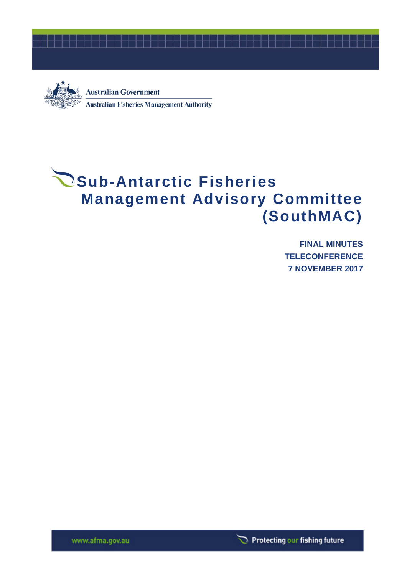



**Australian Government Australian Fisheries Management Authority** 

# **Sub-Antarctic Fisheries Management Advisory Committee (SouthMAC)**

**FINAL MINUTES TELECONFERENCE 7 NOVEMBER 2017**

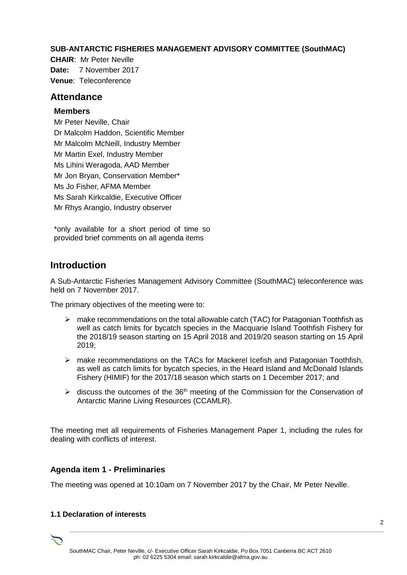#### **SUB-ANTARCTIC FISHERIES MANAGEMENT ADVISORY COMMITTEE (SouthMAC)**

**CHAIR**: Mr Peter Neville **Date:** 7 November 2017 **Venue**: Teleconference

#### **Attendance**

#### **Members**

Mr Peter Neville, Chair Dr Malcolm Haddon, Scientific Member Mr Malcolm McNeill, Industry Member Mr Martin Exel, Industry Member Ms Lihini Weragoda, AAD Member Mr Jon Bryan, Conservation Member\* Ms Jo Fisher, AFMA Member Ms Sarah Kirkcaldie, Executive Officer Mr Rhys Arangio, Industry observer

\*only available for a short period of time so provided brief comments on all agenda items

## **Introduction**

A Sub-Antarctic Fisheries Management Advisory Committee (SouthMAC) teleconference was held on 7 November 2017.

The primary objectives of the meeting were to:

- $\triangleright$  make recommendations on the total allowable catch (TAC) for Patagonian Toothfish as well as catch limits for bycatch species in the Macquarie Island Toothfish Fishery for the 2018/19 season starting on 15 April 2018 and 2019/20 season starting on 15 April 2019;
- $\triangleright$  make recommendations on the TACs for Mackerel Icefish and Patagonian Toothfish, as well as catch limits for bycatch species, in the Heard Island and McDonald Islands Fishery (HIMIF) for the 2017/18 season which starts on 1 December 2017; and
- $\triangleright$  discuss the outcomes of the 36<sup>th</sup> meeting of the Commission for the Conservation of Antarctic Marine Living Resources (CCAMLR).

The meeting met all requirements of Fisheries Management Paper 1, including the rules for dealing with conflicts of interest.

#### **Agenda item 1 - Preliminaries**

The meeting was opened at 10:10am on 7 November 2017 by the Chair, Mr Peter Neville.

#### **1.1 Declaration of interests**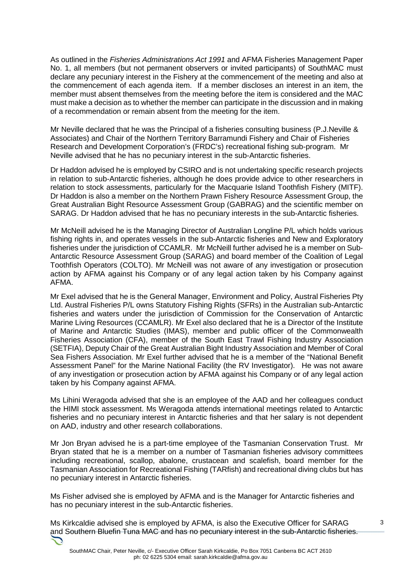As outlined in the *Fisheries Administrations Act 1991* and AFMA Fisheries Management Paper No. 1, all members (but not permanent observers or invited participants) of SouthMAC must declare any pecuniary interest in the Fishery at the commencement of the meeting and also at the commencement of each agenda item. If a member discloses an interest in an item, the member must absent themselves from the meeting before the item is considered and the MAC must make a decision as to whether the member can participate in the discussion and in making of a recommendation or remain absent from the meeting for the item.

Mr Neville declared that he was the Principal of a fisheries consulting business (P.J.Neville & Associates) and Chair of the Northern Territory Barramundi Fishery and Chair of Fisheries Research and Development Corporation's (FRDC's) recreational fishing sub-program. Mr Neville advised that he has no pecuniary interest in the sub-Antarctic fisheries.

Dr Haddon advised he is employed by CSIRO and is not undertaking specific research projects in relation to sub-Antarctic fisheries, although he does provide advice to other researchers in relation to stock assessments, particularly for the Macquarie Island Toothfish Fishery (MITF). Dr Haddon is also a member on the Northern Prawn Fishery Resource Assessment Group, the Great Australian Bight Resource Assessment Group (GABRAG) and the scientific member on SARAG. Dr Haddon advised that he has no pecuniary interests in the sub-Antarctic fisheries.

Mr McNeill advised he is the Managing Director of Australian Longline P/L which holds various fishing rights in, and operates vessels in the sub-Antarctic fisheries and New and Exploratory fisheries under the jurisdiction of CCAMLR. Mr McNeill further advised he is a member on Sub-Antarctic Resource Assessment Group (SARAG) and board member of the Coalition of Legal Toothfish Operators (COLTO). Mr McNeill was not aware of any investigation or prosecution action by AFMA against his Company or of any legal action taken by his Company against AFMA.

Mr Exel advised that he is the General Manager, Environment and Policy, Austral Fisheries Pty Ltd. Austral Fisheries P/L owns Statutory Fishing Rights (SFRs) in the Australian sub-Antarctic fisheries and waters under the jurisdiction of Commission for the Conservation of Antarctic Marine Living Resources (CCAMLR). Mr Exel also declared that he is a Director of the Institute of Marine and Antarctic Studies (IMAS), member and public officer of the Commonwealth Fisheries Association (CFA), member of the South East Trawl Fishing Industry Association (SETFIA), Deputy Chair of the Great Australian Bight Industry Association and Member of Coral Sea Fishers Association. Mr Exel further advised that he is a member of the "National Benefit Assessment Panel" for the Marine National Facility (the RV Investigator). He was not aware of any investigation or prosecution action by AFMA against his Company or of any legal action taken by his Company against AFMA.

Ms Lihini Weragoda advised that she is an employee of the AAD and her colleagues conduct the HIMI stock assessment. Ms Weragoda attends international meetings related to Antarctic fisheries and no pecuniary interest in Antarctic fisheries and that her salary is not dependent on AAD, industry and other research collaborations.

Mr Jon Bryan advised he is a part-time employee of the Tasmanian Conservation Trust. Mr Bryan stated that he is a member on a number of Tasmanian fisheries advisory committees including recreational, scallop, abalone, crustacean and scalefish, board member for the Tasmanian Association for Recreational Fishing (TARfish) and recreational diving clubs but has no pecuniary interest in Antarctic fisheries.

Ms Fisher advised she is employed by AFMA and is the Manager for Antarctic fisheries and has no pecuniary interest in the sub-Antarctic fisheries.

Ms Kirkcaldie advised she is employed by AFMA, is also the Executive Officer for SARAG and Southern Bluefin Tuna MAC and has no pecuniary interest in the sub-Antarctic fisheries.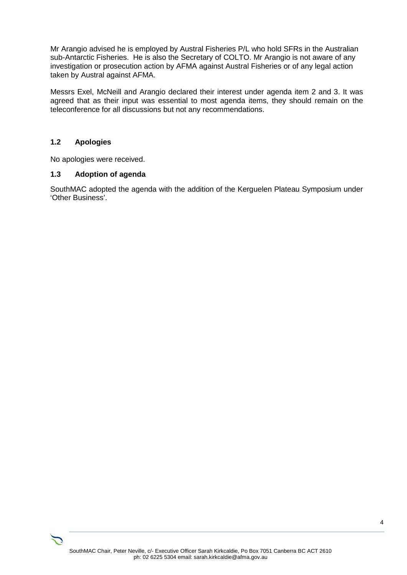Mr Arangio advised he is employed by Austral Fisheries P/L who hold SFRs in the Australian sub-Antarctic Fisheries. He is also the Secretary of COLTO. Mr Arangio is not aware of any investigation or prosecution action by AFMA against Austral Fisheries or of any legal action taken by Austral against AFMA.

Messrs Exel, McNeill and Arangio declared their interest under agenda item 2 and 3. It was agreed that as their input was essential to most agenda items, they should remain on the teleconference for all discussions but not any recommendations.

#### **1.2 Apologies**

No apologies were received.

#### **1.3 Adoption of agenda**

SouthMAC adopted the agenda with the addition of the Kerguelen Plateau Symposium under 'Other Business'.

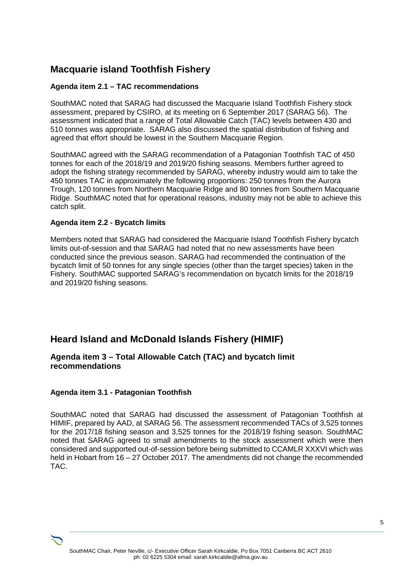# **Macquarie island Toothfish Fishery**

#### **Agenda item 2.1 – TAC recommendations**

SouthMAC noted that SARAG had discussed the Macquarie Island Toothfish Fishery stock assessment, prepared by CSIRO, at its meeting on 6 September 2017 (SARAG 56). The assessment indicated that a range of Total Allowable Catch (TAC) levels between 430 and 510 tonnes was appropriate. SARAG also discussed the spatial distribution of fishing and agreed that effort should be lowest in the Southern Macquarie Region.

SouthMAC agreed with the SARAG recommendation of a Patagonian Toothfish TAC of 450 tonnes for each of the 2018/19 and 2019/20 fishing seasons. Members further agreed to adopt the fishing strategy recommended by SARAG, whereby industry would aim to take the 450 tonnes TAC in approximately the following proportions: 250 tonnes from the Aurora Trough, 120 tonnes from Northern Macquarie Ridge and 80 tonnes from Southern Macquarie Ridge. SouthMAC noted that for operational reasons, industry may not be able to achieve this catch split.

#### **Agenda item 2.2 - Bycatch limits**

Members noted that SARAG had considered the Macquarie Island Toothfish Fishery bycatch limits out-of-session and that SARAG had noted that no new assessments have been conducted since the previous season. SARAG had recommended the continuation of the bycatch limit of 50 tonnes for any single species (other than the target species) taken in the Fishery. SouthMAC supported SARAG's recommendation on bycatch limits for the 2018/19 and 2019/20 fishing seasons.

# **Heard Island and McDonald Islands Fishery (HIMIF)**

#### **Agenda item 3 – Total Allowable Catch (TAC) and bycatch limit recommendations**

#### **Agenda item 3.1 - Patagonian Toothfish**

SouthMAC noted that SARAG had discussed the assessment of Patagonian Toothfish at HIMIF, prepared by AAD, at SARAG 56. The assessment recommended TACs of 3,525 tonnes for the 2017/18 fishing season and 3,525 tonnes for the 2018/19 fishing season. SouthMAC noted that SARAG agreed to small amendments to the stock assessment which were then considered and supported out-of-session before being submitted to CCAMLR XXXVI which was held in Hobart from 16 – 27 October 2017. The amendments did not change the recommended TAC.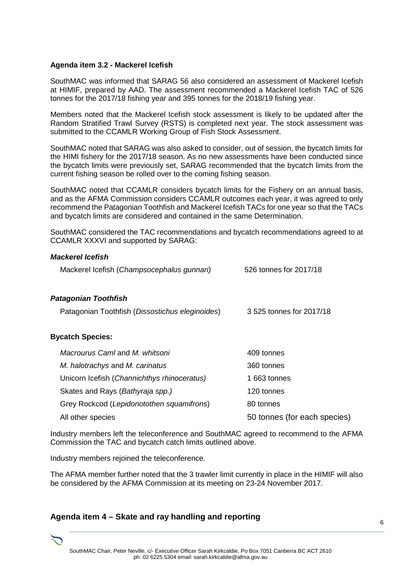#### **Agenda item 3.2 - Mackerel Icefish**

*Mackerel Icefish* 

SouthMAC was informed that SARAG 56 also considered an assessment of Mackerel Icefish at HIMIF, prepared by AAD. The assessment recommended a Mackerel Icefish TAC of 526 tonnes for the 2017/18 fishing year and 395 tonnes for the 2018/19 fishing year.

Members noted that the Mackerel Icefish stock assessment is likely to be updated after the Random Stratified Trawl Survey (RSTS) is completed next year. The stock assessment was submitted to the CCAMLR Working Group of Fish Stock Assessment.

SouthMAC noted that SARAG was also asked to consider, out of session, the bycatch limits for the HIMI fishery for the 2017/18 season. As no new assessments have been conducted since the bycatch limits were previously set, SARAG recommended that the bycatch limits from the current fishing season be rolled over to the coming fishing season.

SouthMAC noted that CCAMLR considers bycatch limits for the Fishery on an annual basis, and as the AFMA Commission considers CCAMLR outcomes each year, it was agreed to only recommend the Patagonian Toothfish and Mackerel Icefish TACs for one year so that the TACs and bycatch limits are considered and contained in the same Determination.

SouthMAC considered the TAC recommendations and bycatch recommendations agreed to at CCAMLR XXXVI and supported by SARAG:

| <i>Mackerel Icefish</i>                         |                              |
|-------------------------------------------------|------------------------------|
| Mackerel Icefish (Champsocephalus gunnari)      | 526 tonnes for 2017/18       |
| <b>Patagonian Toothfish</b>                     |                              |
| Patagonian Toothfish (Dissostichus eleginoides) | 3 525 tonnes for 2017/18     |
| <b>Bycatch Species:</b>                         |                              |
| Macrourus Caml and M. whitsoni                  | 409 tonnes                   |
| M. halotrachys and M. carinatus                 | 360 tonnes                   |
| Unicorn Icefish (Channichthys rhinoceratus)     | 1663 tonnes                  |
| Skates and Rays ( <i>Bathyraja spp.)</i>        | 120 tonnes                   |
| Grey Rockcod (Lepidonotothen squamifrons)       | 80 tonnes                    |
| All other species                               | 50 tonnes (for each species) |

Industry members left the teleconference and SouthMAC agreed to recommend to the AFMA Commission the TAC and bycatch catch limits outlined above.

Industry members rejoined the teleconference.

The AFMA member further noted that the 3 trawler limit currently in place in the HIMIF will also be considered by the AFMA Commission at its meeting on 23-24 November 2017.

#### **Agenda item 4 – Skate and ray handling and reporting**

6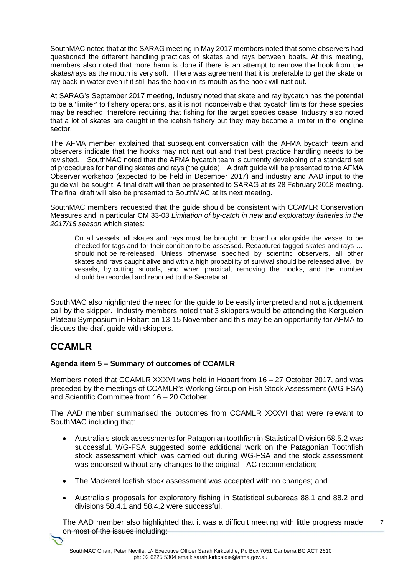SouthMAC noted that at the SARAG meeting in May 2017 members noted that some observers had questioned the different handling practices of skates and rays between boats. At this meeting, members also noted that more harm is done if there is an attempt to remove the hook from the skates/rays as the mouth is very soft. There was agreement that it is preferable to get the skate or ray back in water even if it still has the hook in its mouth as the hook will rust out.

At SARAG's September 2017 meeting, Industry noted that skate and ray bycatch has the potential to be a 'limiter' to fishery operations, as it is not inconceivable that bycatch limits for these species may be reached, therefore requiring that fishing for the target species cease. Industry also noted that a lot of skates are caught in the icefish fishery but they may become a limiter in the longline sector.

The AFMA member explained that subsequent conversation with the AFMA bycatch team and observers indicate that the hooks may not rust out and that best practice handling needs to be revisited. . SouthMAC noted that the AFMA bycatch team is currently developing of a standard set of procedures for handling skates and rays (the guide). A draft guide will be presented to the AFMA Observer workshop (expected to be held in December 2017) and industry and AAD input to the guide will be sought. A final draft will then be presented to SARAG at its 28 February 2018 meeting. The final draft will also be presented to SouthMAC at its next meeting.

SouthMAC members requested that the guide should be consistent with CCAMLR Conservation Measures and in particular CM 33-03 *Limitation of by-catch in new and exploratory fisheries in the 2017/18 season* which states:

On all vessels, all skates and rays must be brought on board or alongside the vessel to be checked for tags and for their condition to be assessed. Recaptured tagged skates and rays … should not be re-released. Unless otherwise specified by scientific observers, all other skates and rays caught alive and with a high probability of survival should be released alive, by vessels, by cutting snoods, and when practical, removing the hooks, and the number should be recorded and reported to the Secretariat.

SouthMAC also highlighted the need for the guide to be easily interpreted and not a judgement call by the skipper. Industry members noted that 3 skippers would be attending the Kerguelen Plateau Symposium in Hobart on 13-15 November and this may be an opportunity for AFMA to discuss the draft guide with skippers.

## **CCAMLR**

#### **Agenda item 5 – Summary of outcomes of CCAMLR**

Members noted that CCAMLR XXXVI was held in Hobart from 16 – 27 October 2017, and was preceded by the meetings of CCAMLR's Working Group on Fish Stock Assessment (WG-FSA) and Scientific Committee from 16 – 20 October.

The AAD member summarised the outcomes from CCAMLR XXXVI that were relevant to SouthMAC including that:

- Australia's stock assessments for Patagonian toothfish in Statistical Division 58.5.2 was successful. WG-FSA suggested some additional work on the Patagonian Toothfish stock assessment which was carried out during WG-FSA and the stock assessment was endorsed without any changes to the original TAC recommendation;
- The Mackerel Icefish stock assessment was accepted with no changes; and
- Australia's proposals for exploratory fishing in Statistical subareas 88.1 and 88.2 and divisions 58.4.1 and 58.4.2 were successful.

7 The AAD member also highlighted that it was a difficult meeting with little progress made on most of the issues including: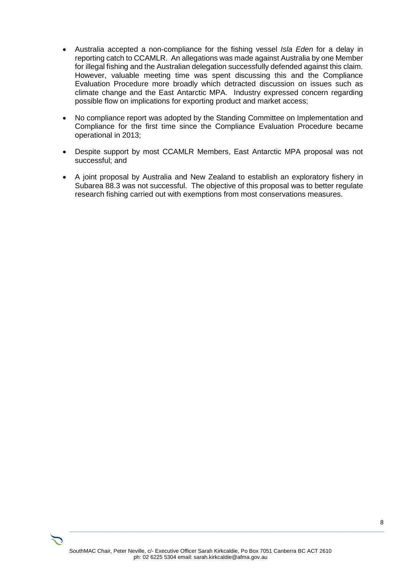- Australia accepted a non-compliance for the fishing vessel *Isla Eden* for a delay in reporting catch to CCAMLR. An allegations was made against Australia by one Member for illegal fishing and the Australian delegation successfully defended against this claim. However, valuable meeting time was spent discussing this and the Compliance Evaluation Procedure more broadly which detracted discussion on issues such as climate change and the East Antarctic MPA. Industry expressed concern regarding possible flow on implications for exporting product and market access;
- No compliance report was adopted by the Standing Committee on Implementation and Compliance for the first time since the Compliance Evaluation Procedure became operational in 2013;
- Despite support by most CCAMLR Members, East Antarctic MPA proposal was not successful; and
- A joint proposal by Australia and New Zealand to establish an exploratory fishery in Subarea 88.3 was not successful. The objective of this proposal was to better regulate research fishing carried out with exemptions from most conservations measures.

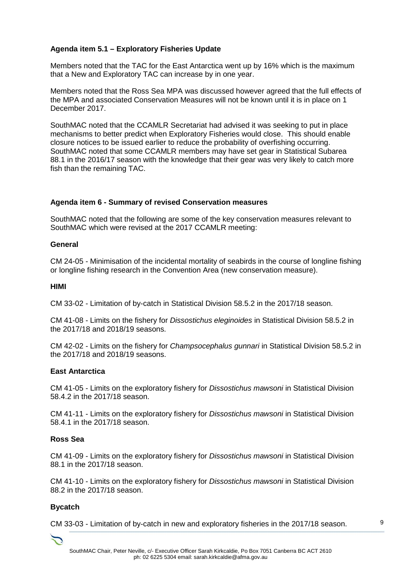#### **Agenda item 5.1 – Exploratory Fisheries Update**

Members noted that the TAC for the East Antarctica went up by 16% which is the maximum that a New and Exploratory TAC can increase by in one year.

Members noted that the Ross Sea MPA was discussed however agreed that the full effects of the MPA and associated Conservation Measures will not be known until it is in place on 1 December 2017.

SouthMAC noted that the CCAMLR Secretariat had advised it was seeking to put in place mechanisms to better predict when Exploratory Fisheries would close. This should enable closure notices to be issued earlier to reduce the probability of overfishing occurring. SouthMAC noted that some CCAMLR members may have set gear in Statistical Subarea 88.1 in the 2016/17 season with the knowledge that their gear was very likely to catch more fish than the remaining TAC.

#### **Agenda item 6 - Summary of revised Conservation measures**

SouthMAC noted that the following are some of the key conservation measures relevant to SouthMAC which were revised at the 2017 CCAMLR meeting:

#### **General**

CM 24-05 - Minimisation of the incidental mortality of seabirds in the course of longline fishing or longline fishing research in the Convention Area (new conservation measure).

#### **HIMI**

CM 33-02 - Limitation of by-catch in Statistical Division 58.5.2 in the 2017/18 season.

CM 41-08 - Limits on the fishery for *Dissostichus eleginoides* in Statistical Division 58.5.2 in the 2017/18 and 2018/19 seasons.

CM 42-02 - Limits on the fishery for *Champsocephalus gunnari* in Statistical Division 58.5.2 in the 2017/18 and 2018/19 seasons.

#### **East Antarctica**

CM 41-05 - Limits on the exploratory fishery for *Dissostichus mawsoni* in Statistical Division 58.4.2 in the 2017/18 season.

CM 41-11 - Limits on the exploratory fishery for *Dissostichus mawsoni* in Statistical Division 58.4.1 in the 2017/18 season.

#### **Ross Sea**

CM 41-09 - Limits on the exploratory fishery for *Dissostichus mawsoni* in Statistical Division 88.1 in the 2017/18 season.

CM 41-10 - Limits on the exploratory fishery for *Dissostichus mawsoni* in Statistical Division 88.2 in the 2017/18 season.

#### **Bycatch**

CM 33-03 - Limitation of by-catch in new and exploratory fisheries in the 2017/18 season.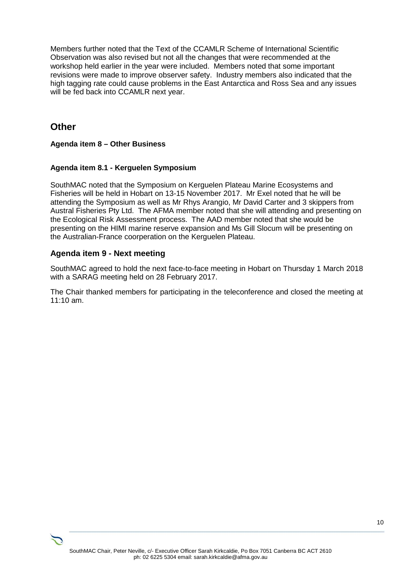Members further noted that the Text of the CCAMLR Scheme of International Scientific Observation was also revised but not all the changes that were recommended at the workshop held earlier in the year were included. Members noted that some important revisions were made to improve observer safety. Industry members also indicated that the high tagging rate could cause problems in the East Antarctica and Ross Sea and any issues will be fed back into CCAMLR next year.

## **Other**

#### **Agenda item 8 – Other Business**

#### **Agenda item 8.1 - Kerguelen Symposium**

SouthMAC noted that the Symposium on Kerguelen Plateau Marine Ecosystems and Fisheries will be held in Hobart on 13-15 November 2017. Mr Exel noted that he will be attending the Symposium as well as Mr Rhys Arangio, Mr David Carter and 3 skippers from Austral Fisheries Pty Ltd. The AFMA member noted that she will attending and presenting on the Ecological Risk Assessment process. The AAD member noted that she would be presenting on the HIMI marine reserve expansion and Ms Gill Slocum will be presenting on the Australian-France coorperation on the Kerguelen Plateau.

#### **Agenda item 9 - Next meeting**

SouthMAC agreed to hold the next face-to-face meeting in Hobart on Thursday 1 March 2018 with a SARAG meeting held on 28 February 2017.

The Chair thanked members for participating in the teleconference and closed the meeting at 11:10 am.